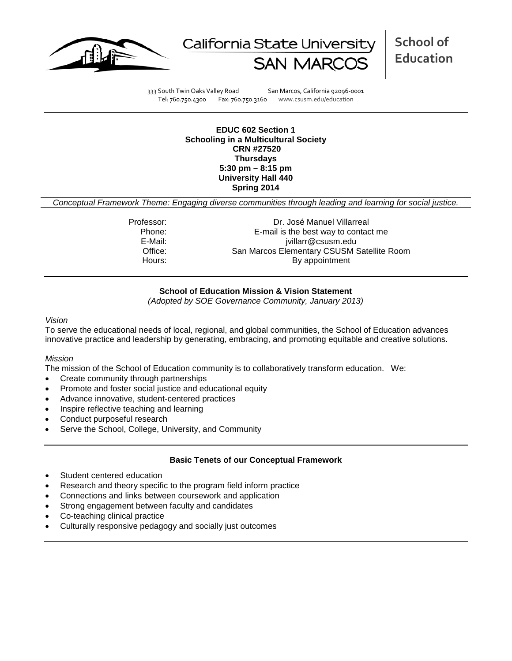



**School of Education**

333 South Twin Oaks Valley Road San Marcos, California 92096-0001 Tel: 760.750.4300 Fax: 760.750.3160 www.csusm.edu/education

#### **EDUC 602 Section 1 Schooling in a Multicultural Society CRN #27520 Thursdays 5:30 pm – 8:15 pm University Hall 440 Spring 2014**

*Conceptual Framework Theme: Engaging diverse communities through leading and learning for social justice.*

Professor: Dr. José Manuel Villarreal Phone: E-mail is the best way to contact me<br>E-Mail: ivillarr@csusm.edu jvillarr@csusm.edu Office: San Marcos Elementary CSUSM Satellite Room Hours: By appointment

## **School of Education Mission & Vision Statement**

*(Adopted by SOE Governance Community, January 2013)*

#### *Vision*

To serve the educational needs of local, regional, and global communities, the School of Education advances innovative practice and leadership by generating, embracing, and promoting equitable and creative solutions.

#### *Mission*

The mission of the School of Education community is to collaboratively transform education. We:

- Create community through partnerships
- Promote and foster social justice and educational equity
- Advance innovative, student-centered practices
- Inspire reflective teaching and learning
- Conduct purposeful research
- Serve the School, College, University, and Community

#### **Basic Tenets of our Conceptual Framework**

- Student centered education
- Research and theory specific to the program field inform practice
- Connections and links between coursework and application
- Strong engagement between faculty and candidates
- Co-teaching clinical practice
- Culturally responsive pedagogy and socially just outcomes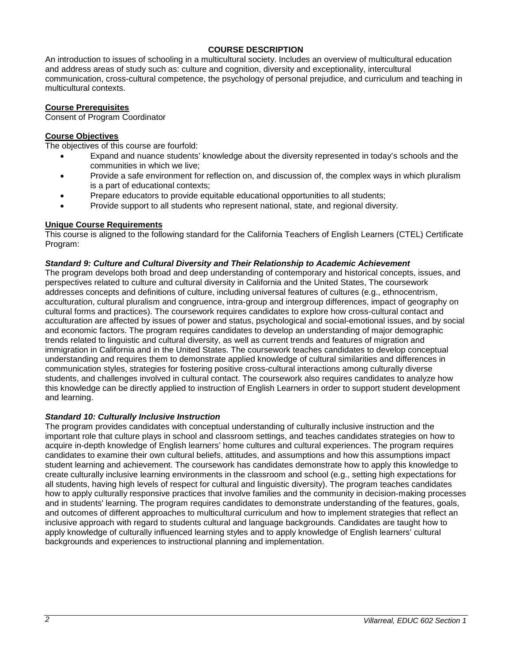## **COURSE DESCRIPTION**

An introduction to issues of schooling in a multicultural society. Includes an overview of multicultural education and address areas of study such as: culture and cognition, diversity and exceptionality, intercultural communication, cross-cultural competence, the psychology of personal prejudice, and curriculum and teaching in multicultural contexts.

## **Course Prerequisites**

Consent of Program Coordinator

## **Course Objectives**

The objectives of this course are fourfold:

- Expand and nuance students' knowledge about the diversity represented in today's schools and the communities in which we live;
- Provide a safe environment for reflection on, and discussion of, the complex ways in which pluralism is a part of educational contexts;
- Prepare educators to provide equitable educational opportunities to all students;
- Provide support to all students who represent national, state, and regional diversity.

## **Unique Course Requirements**

This course is aligned to the following standard for the California Teachers of English Learners (CTEL) Certificate Program:

#### *Standard 9: Culture and Cultural Diversity and Their Relationship to Academic Achievement*

The program develops both broad and deep understanding of contemporary and historical concepts, issues, and perspectives related to culture and cultural diversity in California and the United States, The coursework addresses concepts and definitions of culture, including universal features of cultures (e.g., ethnocentrism, acculturation, cultural pluralism and congruence, intra-group and intergroup differences, impact of geography on cultural forms and practices). The coursework requires candidates to explore how cross-cultural contact and acculturation are affected by issues of power and status, psychological and social-emotional issues, and by social and economic factors. The program requires candidates to develop an understanding of major demographic trends related to linguistic and cultural diversity, as well as current trends and features of migration and immigration in California and in the United States. The coursework teaches candidates to develop conceptual understanding and requires them to demonstrate applied knowledge of cultural similarities and differences in communication styles, strategies for fostering positive cross-cultural interactions among culturally diverse students, and challenges involved in cultural contact. The coursework also requires candidates to analyze how this knowledge can be directly applied to instruction of English Learners in order to support student development and learning.

#### *Standard 10: Culturally Inclusive Instruction*

The program provides candidates with conceptual understanding of culturally inclusive instruction and the important role that culture plays in school and classroom settings, and teaches candidates strategies on how to acquire in-depth knowledge of English learners' home cultures and cultural experiences. The program requires candidates to examine their own cultural beliefs, attitudes, and assumptions and how this assumptions impact student learning and achievement. The coursework has candidates demonstrate how to apply this knowledge to create culturally inclusive learning environments in the classroom and school (e.g., setting high expectations for all students, having high levels of respect for cultural and linguistic diversity). The program teaches candidates how to apply culturally responsive practices that involve families and the community in decision-making processes and in students' learning. The program requires candidates to demonstrate understanding of the features, goals, and outcomes of different approaches to multicultural curriculum and how to implement strategies that reflect an inclusive approach with regard to students cultural and language backgrounds. Candidates are taught how to apply knowledge of culturally influenced learning styles and to apply knowledge of English learners' cultural backgrounds and experiences to instructional planning and implementation.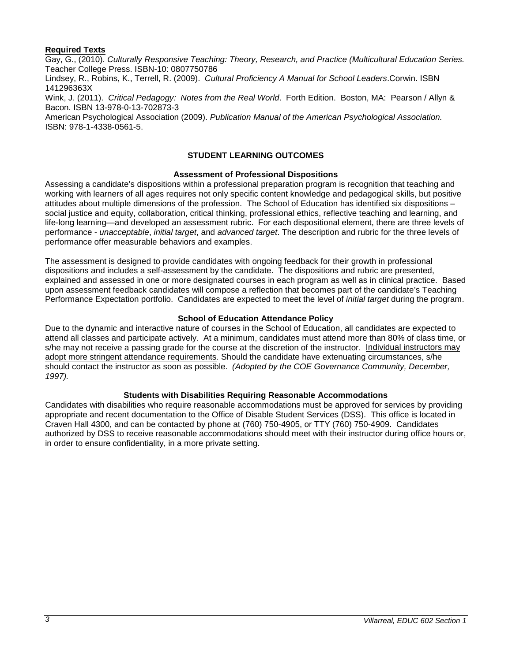## **Required Texts**

Gay, G., (2010). *Culturally Responsive Teaching: Theory, Research, and Practice (Multicultural Education Series.* Teacher College Press. ISBN-10: 0807750786

Lindsey, R., Robins, K., Terrell, R. (2009). *Cultural Proficiency A Manual for School Leaders*.Corwin. ISBN 141296363X

Wink, J. (2011). *Critical Pedagogy: Notes from the Real World*. Forth Edition. Boston, MA: Pearson / Allyn & Bacon. ISBN 13-978-0-13-702873-3

American Psychological Association (2009). *Publication Manual of the American Psychological Association.* ISBN: 978-1-4338-0561-5.

## **STUDENT LEARNING OUTCOMES**

#### **Assessment of Professional Dispositions**

Assessing a candidate's dispositions within a professional preparation program is recognition that teaching and working with learners of all ages requires not only specific content knowledge and pedagogical skills, but positive attitudes about multiple dimensions of the profession. The School of Education has identified six dispositions – social justice and equity, collaboration, critical thinking, professional ethics, reflective teaching and learning, and life-long learning—and developed an assessment rubric. For each dispositional element, there are three levels of performance - *unacceptable*, *initial target*, and *advanced target*. The description and rubric for the three levels of performance offer measurable behaviors and examples.

The assessment is designed to provide candidates with ongoing feedback for their growth in professional dispositions and includes a self-assessment by the candidate. The dispositions and rubric are presented, explained and assessed in one or more designated courses in each program as well as in clinical practice. Based upon assessment feedback candidates will compose a reflection that becomes part of the candidate's Teaching Performance Expectation portfolio. Candidates are expected to meet the level of *initial target* during the program.

## **School of Education Attendance Policy**

Due to the dynamic and interactive nature of courses in the School of Education, all candidates are expected to attend all classes and participate actively. At a minimum, candidates must attend more than 80% of class time, or s/he may not receive a passing grade for the course at the discretion of the instructor. Individual instructors may adopt more stringent attendance requirements. Should the candidate have extenuating circumstances, s/he should contact the instructor as soon as possible. *(Adopted by the COE Governance Community, December, 1997).*

#### **Students with Disabilities Requiring Reasonable Accommodations**

Candidates with disabilities who require reasonable accommodations must be approved for services by providing appropriate and recent documentation to the Office of Disable Student Services (DSS). This office is located in Craven Hall 4300, and can be contacted by phone at (760) 750-4905, or TTY (760) 750-4909. Candidates authorized by DSS to receive reasonable accommodations should meet with their instructor during office hours or, in order to ensure confidentiality, in a more private setting.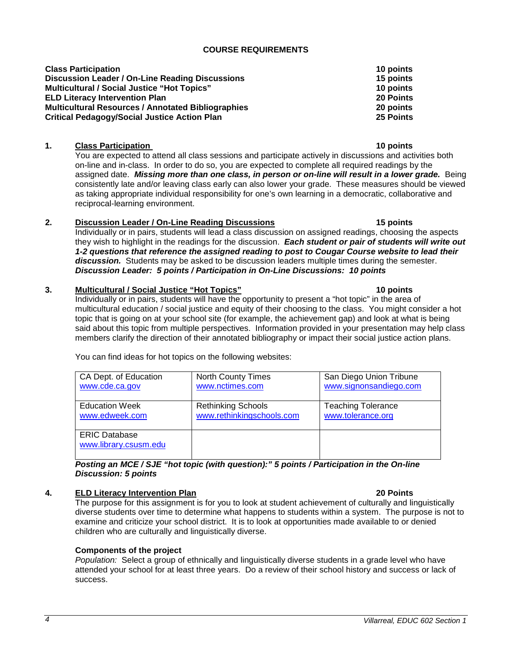*Population:* Select a group of ethnically and linguistically diverse students in a grade level who have attended your school for at least three years. Do a review of their school history and success or lack of success.

# *4 Villarreal, EDUC 602 Section 1*

## **COURSE REQUIREMENTS**

| <b>Class Participation</b>                                | 10 points |
|-----------------------------------------------------------|-----------|
| <b>Discussion Leader / On-Line Reading Discussions</b>    | 15 points |
| <b>Multicultural / Social Justice "Hot Topics"</b>        | 10 points |
| <b>ELD Literacy Intervention Plan</b>                     | 20 Points |
| <b>Multicultural Resources / Annotated Bibliographies</b> | 20 points |
| <b>Critical Pedagogy/Social Justice Action Plan</b>       | 25 Points |

## **1. Class Participation** 10 points

You are expected to attend all class sessions and participate actively in discussions and activities both on-line and in-class. In order to do so, you are expected to complete all required readings by the assigned date. *Missing more than one class, in person or on-line will result in a lower grade.* Being consistently late and/or leaving class early can also lower your grade. These measures should be viewed as taking appropriate individual responsibility for one's own learning in a democratic, collaborative and reciprocal-learning environment.

## **2. Discussion Leader / On-Line Reading Discussions 15 points**

Individually or in pairs, students will lead a class discussion on assigned readings, choosing the aspects they wish to highlight in the readings for the discussion. *Each student or pair of students will write out 1-2 questions that reference the assigned reading to post to Cougar Course website to lead their discussion.* Students may be asked to be discussion leaders multiple times during the semester. *Discussion Leader: 5 points / Participation in On-Line Discussions: 10 points*

## **3. Multicultural / Social Justice "Hot Topics" 10 points**

Individually or in pairs, students will have the opportunity to present a "hot topic" in the area of multicultural education / social justice and equity of their choosing to the class. You might consider a hot topic that is going on at your school site (for example, the achievement gap) and look at what is being said about this topic from multiple perspectives. Information provided in your presentation may help class members clarify the direction of their annotated bibliography or impact their social justice action plans.

You can find ideas for hot topics on the following websites:

| ERIC Database                                                                           |  |  |  |  |
|-----------------------------------------------------------------------------------------|--|--|--|--|
| www.library.csusm.edu                                                                   |  |  |  |  |
|                                                                                         |  |  |  |  |
| Posting an MCE/SJE "hot topic (with question):" 5 points / Participation in the On-line |  |  |  |  |

[www.rethinkingschools.com](http://www.rethinkingschools.com/)

## *Posting an MCE / SJE "hot topic (with question):" 5 points / Participation in the On-line Discussion: 5 points*

North County Times [www.nctimes.com](http://www.nctimes.com/)

Rethinking Schools

## **4. ELD Literacy Intervention Plan 20 Points**

**Components of the project**

CA Dept. of Education [www.cde.ca.gov](http://www.cde.ca.gov/)

Education Week [www.edweek.com](http://www.edweek.com/)

The purpose for this assignment is for you to look at student achievement of culturally and linguistically diverse students over time to determine what happens to students within a system. The purpose is not to examine and criticize your school district. It is to look at opportunities made available to or denied children who are culturally and linguistically diverse.

San Diego Union Tribune [www.signonsandiego.com](http://www.signonsandiego.com/)

Teaching Tolerance [www.tolerance.org](http://www.tolerance.org/)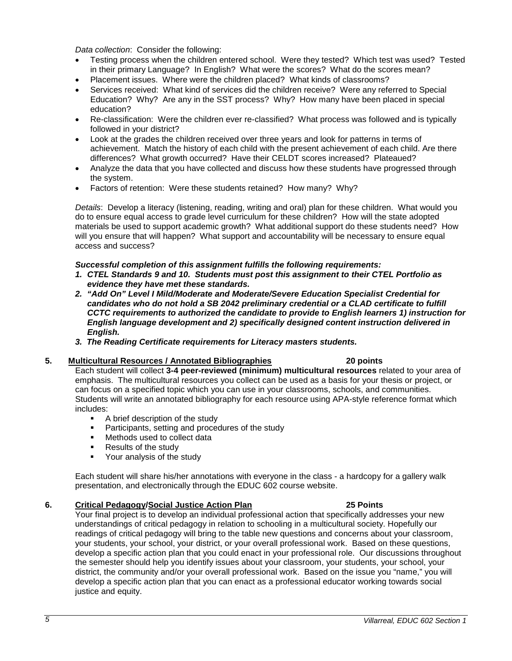*Data collection*: Consider the following:

- Testing process when the children entered school. Were they tested? Which test was used? Tested in their primary Language? In English? What were the scores? What do the scores mean?
- Placement issues. Where were the children placed? What kinds of classrooms?
- Services received: What kind of services did the children receive? Were any referred to Special Education? Why? Are any in the SST process? Why? How many have been placed in special education?
- Re-classification: Were the children ever re-classified? What process was followed and is typically followed in your district?
- Look at the grades the children received over three years and look for patterns in terms of achievement. Match the history of each child with the present achievement of each child. Are there differences? What growth occurred? Have their CELDT scores increased? Plateaued?
- Analyze the data that you have collected and discuss how these students have progressed through the system.
- Factors of retention: Were these students retained? How many? Why?

*Details*: Develop a literacy (listening, reading, writing and oral) plan for these children. What would you do to ensure equal access to grade level curriculum for these children? How will the state adopted materials be used to support academic growth? What additional support do these students need? How will you ensure that will happen? What support and accountability will be necessary to ensure equal access and success?

#### *Successful completion of this assignment fulfills the following requirements:*

- *1. CTEL Standards 9 and 10. Students must post this assignment to their CTEL Portfolio as evidence they have met these standards.*
- *2. "Add On" Level I Mild/Moderate and Moderate/Severe Education Specialist Credential for candidates who do not hold a SB 2042 preliminary credential or a CLAD certificate to fulfill CCTC requirements to authorized the candidate to provide to English learners 1) instruction for English language development and 2) specifically designed content instruction delivered in English.*
- *3. The Reading Certificate requirements for Literacy masters students.*

#### **5. Multicultural Resources / Annotated Bibliographies 20 points**

Each student will collect **3-4 peer-reviewed (minimum) multicultural resources** related to your area of emphasis. The multicultural resources you collect can be used as a basis for your thesis or project, or can focus on a specified topic which you can use in your classrooms, schools, and communities. Students will write an annotated bibliography for each resource using APA-style reference format which includes:

- **A brief description of the study**
- **Participants, setting and procedures of the study**
- Methods used to collect data
- **Results of the study**
- Your analysis of the study

Each student will share his/her annotations with everyone in the class - a hardcopy for a gallery walk presentation, and electronically through the EDUC 602 course website.

#### **6. Critical Pedagogy/Social Justice Action Plan 25 Points**

Your final project is to develop an individual professional action that specifically addresses your new understandings of critical pedagogy in relation to schooling in a multicultural society. Hopefully our readings of critical pedagogy will bring to the table new questions and concerns about your classroom, your students, your school, your district, or your overall professional work. Based on these questions, develop a specific action plan that you could enact in your professional role. Our discussions throughout the semester should help you identify issues about your classroom, your students, your school, your district, the community and/or your overall professional work. Based on the issue you "name," you will develop a specific action plan that you can enact as a professional educator working towards social justice and equity.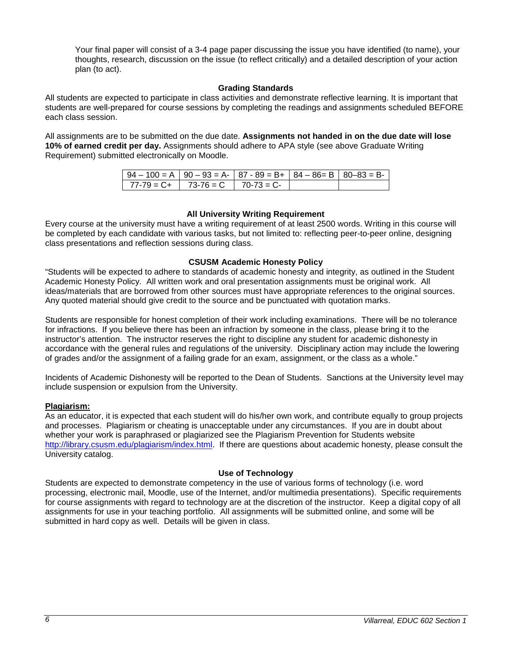Your final paper will consist of a 3-4 page paper discussing the issue you have identified (to name), your thoughts, research, discussion on the issue (to reflect critically) and a detailed description of your action plan (to act).

## **Grading Standards**

All students are expected to participate in class activities and demonstrate reflective learning. It is important that students are well-prepared for course sessions by completing the readings and assignments scheduled BEFORE each class session.

All assignments are to be submitted on the due date. **Assignments not handed in on the due date will lose 10% of earned credit per day.** Assignments should adhere to APA style (see above Graduate Writing Requirement) submitted electronically on Moodle.

| $194 - 100 = A$   90 - 93 = A -   87 - 89 = B +   84 - 86 = B   80 - 83 = B - |  |  |
|-------------------------------------------------------------------------------|--|--|
| $1 \quad 77-79 = C + 1 \quad 73-76 = C 1 \quad 70-73 = C$                     |  |  |

## **All University Writing Requirement**

Every course at the university must have a writing requirement of at least 2500 words. Writing in this course will be completed by each candidate with various tasks, but not limited to: reflecting peer-to-peer online, designing class presentations and reflection sessions during class.

#### **CSUSM Academic Honesty Policy**

"Students will be expected to adhere to standards of academic honesty and integrity, as outlined in the Student Academic Honesty Policy. All written work and oral presentation assignments must be original work. All ideas/materials that are borrowed from other sources must have appropriate references to the original sources. Any quoted material should give credit to the source and be punctuated with quotation marks.

Students are responsible for honest completion of their work including examinations. There will be no tolerance for infractions. If you believe there has been an infraction by someone in the class, please bring it to the instructor's attention. The instructor reserves the right to discipline any student for academic dishonesty in accordance with the general rules and regulations of the university. Disciplinary action may include the lowering of grades and/or the assignment of a failing grade for an exam, assignment, or the class as a whole."

Incidents of Academic Dishonesty will be reported to the Dean of Students. Sanctions at the University level may include suspension or expulsion from the University.

#### **Plagiarism:**

As an educator, it is expected that each student will do his/her own work, and contribute equally to group projects and processes. Plagiarism or cheating is unacceptable under any circumstances. If you are in doubt about whether your work is paraphrased or plagiarized see the Plagiarism Prevention for Students website [http://library.csusm.edu/plagiarism/index.html.](http://library.csusm.edu/plagiarism/index.html) If there are questions about academic honesty, please consult the University catalog.

### **Use of Technology**

Students are expected to demonstrate competency in the use of various forms of technology (i.e. word processing, electronic mail, Moodle, use of the Internet, and/or multimedia presentations). Specific requirements for course assignments with regard to technology are at the discretion of the instructor. Keep a digital copy of all assignments for use in your teaching portfolio. All assignments will be submitted online, and some will be submitted in hard copy as well. Details will be given in class.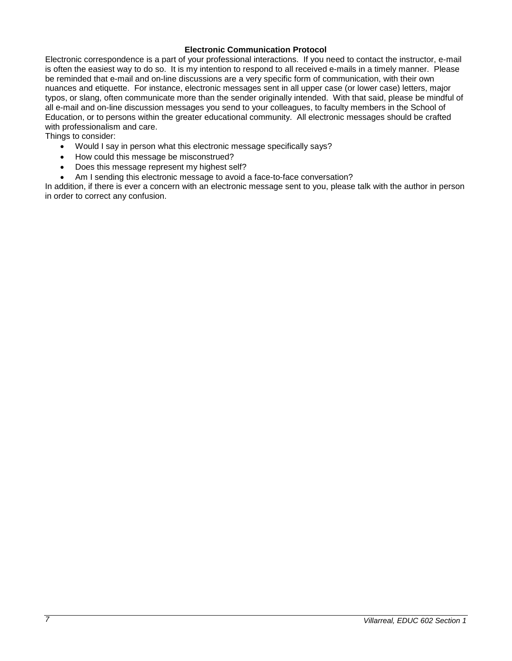### **Electronic Communication Protocol**

Electronic correspondence is a part of your professional interactions. If you need to contact the instructor, e-mail is often the easiest way to do so. It is my intention to respond to all received e-mails in a timely manner. Please be reminded that e-mail and on-line discussions are a very specific form of communication, with their own nuances and etiquette. For instance, electronic messages sent in all upper case (or lower case) letters, major typos, or slang, often communicate more than the sender originally intended. With that said, please be mindful of all e-mail and on-line discussion messages you send to your colleagues, to faculty members in the School of Education, or to persons within the greater educational community. All electronic messages should be crafted with professionalism and care.

Things to consider:

- Would I say in person what this electronic message specifically says?
- How could this message be misconstrued?
- Does this message represent my highest self?
- Am I sending this electronic message to avoid a face-to-face conversation?

In addition, if there is ever a concern with an electronic message sent to you, please talk with the author in person in order to correct any confusion.